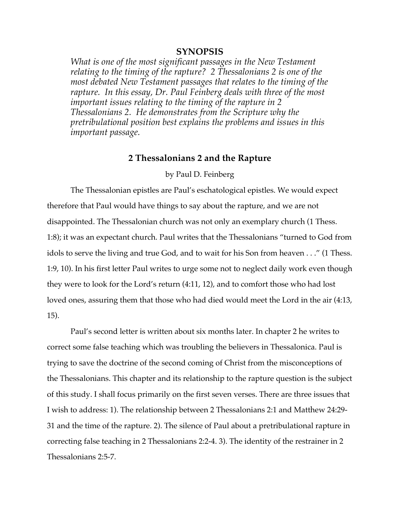# **SYNOPSIS**

*What is one of the most significant passages in the New Testament relating to the timing of the rapture? 2 Thessalonians 2 is one of the most debated New Testament passages that relates to the timing of the rapture. In this essay, Dr. Paul Feinberg deals with three of the most important issues relating to the timing of the rapture in 2 Thessalonians 2. He demonstrates from the Scripture why the pretribulational position best explains the problems and issues in this important passage.*

## **2 Thessalonians 2 and the Rapture**

#### by Paul D. Feinberg

The Thessalonian epistles are Paul's eschatological epistles. We would expect therefore that Paul would have things to say about the rapture, and we are not disappointed. The Thessalonian church was not only an exemplary church (1 Thess. 1:8); it was an expectant church. Paul writes that the Thessalonians "turned to God from idols to serve the living and true God, and to wait for his Son from heaven . . ." (1 Thess. 1:9, 10). In his first letter Paul writes to urge some not to neglect daily work even though they were to look for the Lord's return (4:11, 12), and to comfort those who had lost loved ones, assuring them that those who had died would meet the Lord in the air (4:13, 15).

Paul's second letter is written about six months later. In chapter 2 he writes to correct some false teaching which was troubling the believers in Thessalonica. Paul is trying to save the doctrine of the second coming of Christ from the misconceptions of the Thessalonians. This chapter and its relationship to the rapture question is the subject of this study. I shall focus primarily on the first seven verses. There are three issues that I wish to address: 1). The relationship between 2 Thessalonians 2:1 and Matthew 24:29- 31 and the time of the rapture. 2). The silence of Paul about a pretribulational rapture in correcting false teaching in 2 Thessalonians 2:2-4. 3). The identity of the restrainer in 2 Thessalonians 2:5-7.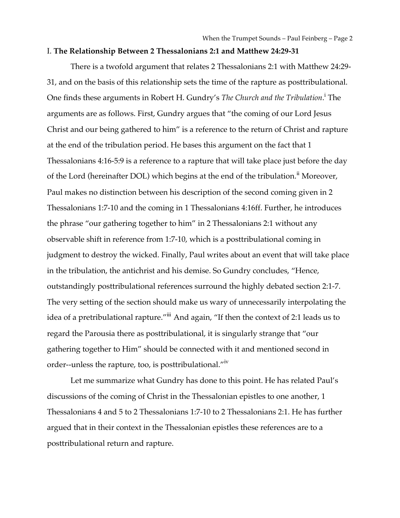#### I. **The Relationship Between 2 Thessalonians 2:1 and Matthew 24:29-31**

There is a twofold argument that relates 2 Thessalonians 2:1 with Matthew 24:29- 31, and on the basis of this relationship sets the time of the rapture as posttribulational. One finds these arguments in Robert H. Gundry's *The Church and the Tribulation*.<sup>i</sup> The arguments are as follows. First, Gundry argues that "the coming of our Lord Jesus Christ and our being gathered to him" is a reference to the return of Christ and rapture at the end of the tribulation period. He bases this argument on the fact that 1 Thessalonians 4:16-5:9 is a reference to a rapture that will take place just before the day of the Lord (hereinafter DOL) which begins at the end of the tribulation.<sup>ii</sup> Moreover, Paul makes no distinction between his description of the second coming given in 2 Thessalonians 1:7-10 and the coming in 1 Thessalonians 4:16ff. Further, he introduces the phrase "our gathering together to him" in 2 Thessalonians 2:1 without any observable shift in reference from 1:7-10, which is a posttribulational coming in judgment to destroy the wicked. Finally, Paul writes about an event that will take place in the tribulation, the antichrist and his demise. So Gundry concludes, "Hence, outstandingly posttribulational references surround the highly debated section 2:1-7. The very setting of the section should make us wary of unnecessarily interpolating the idea of a pretribulational rapture."iii And again, "If then the context of 2:1 leads us to regard the Parousia there as posttribulational, it is singularly strange that "our gathering together to Him" should be connected with it and mentioned second in order--unless the rapture, too, is posttribulational."iv

Let me summarize what Gundry has done to this point. He has related Paul's discussions of the coming of Christ in the Thessalonian epistles to one another, 1 Thessalonians 4 and 5 to 2 Thessalonians 1:7-10 to 2 Thessalonians 2:1. He has further argued that in their context in the Thessalonian epistles these references are to a posttribulational return and rapture.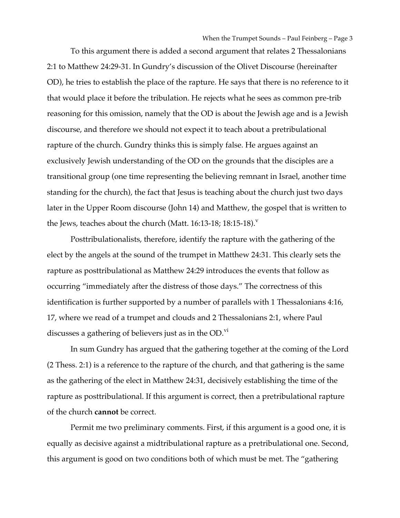To this argument there is added a second argument that relates 2 Thessalonians 2:1 to Matthew 24:29-31. In Gundry's discussion of the Olivet Discourse (hereinafter OD), he tries to establish the place of the rapture. He says that there is no reference to it that would place it before the tribulation. He rejects what he sees as common pre-trib reasoning for this omission, namely that the OD is about the Jewish age and is a Jewish discourse, and therefore we should not expect it to teach about a pretribulational rapture of the church. Gundry thinks this is simply false. He argues against an exclusively Jewish understanding of the OD on the grounds that the disciples are a transitional group (one time representing the believing remnant in Israel, another time standing for the church), the fact that Jesus is teaching about the church just two days later in the Upper Room discourse (John 14) and Matthew, the gospel that is written to the Jews, teaches about the church (Matt. 16:13-18; 18:15-18).<sup>v</sup>

Posttribulationalists, therefore, identify the rapture with the gathering of the elect by the angels at the sound of the trumpet in Matthew 24:31. This clearly sets the rapture as posttribulational as Matthew 24:29 introduces the events that follow as occurring "immediately after the distress of those days." The correctness of this identification is further supported by a number of parallels with 1 Thessalonians 4:16, 17, where we read of a trumpet and clouds and 2 Thessalonians 2:1, where Paul discusses a gathering of believers just as in the OD. $\mathrm{^{VI}}$ 

In sum Gundry has argued that the gathering together at the coming of the Lord (2 Thess. 2:1) is a reference to the rapture of the church, and that gathering is the same as the gathering of the elect in Matthew 24:31, decisively establishing the time of the rapture as posttribulational. If this argument is correct, then a pretribulational rapture of the church **cannot** be correct.

Permit me two preliminary comments. First, if this argument is a good one, it is equally as decisive against a midtribulational rapture as a pretribulational one. Second, this argument is good on two conditions both of which must be met. The "gathering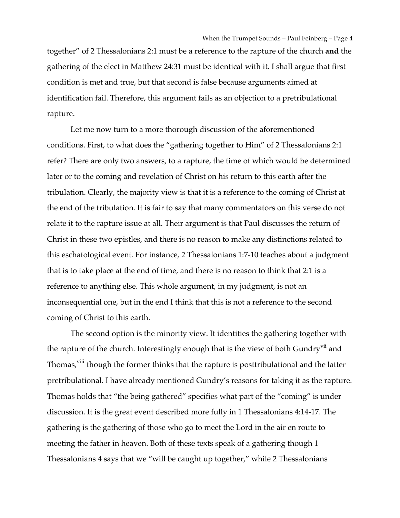together" of 2 Thessalonians 2:1 must be a reference to the rapture of the church **and** the gathering of the elect in Matthew 24:31 must be identical with it. I shall argue that first condition is met and true, but that second is false because arguments aimed at identification fail. Therefore, this argument fails as an objection to a pretribulational rapture.

Let me now turn to a more thorough discussion of the aforementioned conditions. First, to what does the "gathering together to Him" of 2 Thessalonians 2:1 refer? There are only two answers, to a rapture, the time of which would be determined later or to the coming and revelation of Christ on his return to this earth after the tribulation. Clearly, the majority view is that it is a reference to the coming of Christ at the end of the tribulation. It is fair to say that many commentators on this verse do not relate it to the rapture issue at all. Their argument is that Paul discusses the return of Christ in these two epistles, and there is no reason to make any distinctions related to this eschatological event. For instance, 2 Thessalonians 1:7-10 teaches about a judgment that is to take place at the end of time, and there is no reason to think that 2:1 is a reference to anything else. This whole argument, in my judgment, is not an inconsequential one, but in the end I think that this is not a reference to the second coming of Christ to this earth.

The second option is the minority view. It identities the gathering together with the rapture of the church. Interestingly enough that is the view of both Gundry<sup>vii</sup> and Thomas,<sup>viii</sup> though the former thinks that the rapture is posttribulational and the latter pretribulational. I have already mentioned Gundry's reasons for taking it as the rapture. Thomas holds that "the being gathered" specifies what part of the "coming" is under discussion. It is the great event described more fully in 1 Thessalonians 4:14-17. The gathering is the gathering of those who go to meet the Lord in the air en route to meeting the father in heaven. Both of these texts speak of a gathering though 1 Thessalonians 4 says that we "will be caught up together," while 2 Thessalonians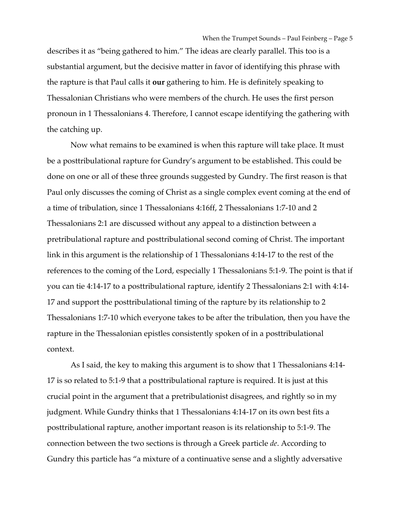describes it as "being gathered to him." The ideas are clearly parallel. This too is a substantial argument, but the decisive matter in favor of identifying this phrase with the rapture is that Paul calls it **our** gathering to him. He is definitely speaking to Thessalonian Christians who were members of the church. He uses the first person pronoun in 1 Thessalonians 4. Therefore, I cannot escape identifying the gathering with the catching up.

Now what remains to be examined is when this rapture will take place. It must be a posttribulational rapture for Gundry's argument to be established. This could be done on one or all of these three grounds suggested by Gundry. The first reason is that Paul only discusses the coming of Christ as a single complex event coming at the end of a time of tribulation, since 1 Thessalonians 4:16ff, 2 Thessalonians 1:7-10 and 2 Thessalonians 2:1 are discussed without any appeal to a distinction between a pretribulational rapture and posttribulational second coming of Christ. The important link in this argument is the relationship of 1 Thessalonians 4:14-17 to the rest of the references to the coming of the Lord, especially 1 Thessalonians 5:1-9. The point is that if you can tie 4:14-17 to a posttribulational rapture, identify 2 Thessalonians 2:1 with 4:14- 17 and support the posttribulational timing of the rapture by its relationship to 2 Thessalonians 1:7-10 which everyone takes to be after the tribulation, then you have the rapture in the Thessalonian epistles consistently spoken of in a posttribulational context.

As I said, the key to making this argument is to show that 1 Thessalonians 4:14- 17 is so related to 5:1-9 that a posttribulational rapture is required. It is just at this crucial point in the argument that a pretribulationist disagrees, and rightly so in my judgment. While Gundry thinks that 1 Thessalonians 4:14-17 on its own best fits a posttribulational rapture, another important reason is its relationship to 5:1-9. The connection between the two sections is through a Greek particle *de*. According to Gundry this particle has "a mixture of a continuative sense and a slightly adversative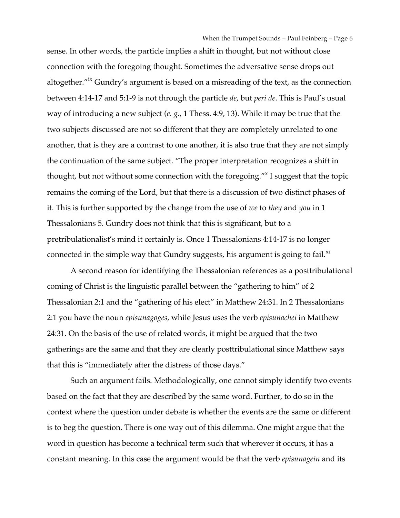sense. In other words, the particle implies a shift in thought, but not without close connection with the foregoing thought. Sometimes the adversative sense drops out altogether."<sup>ix</sup> Gundry's argument is based on a misreading of the text, as the connection between 4:14-17 and 5:1-9 is not through the particle *de*, but *peri de*. This is Paul's usual way of introducing a new subject (*e. g.*, 1 Thess. 4:9, 13). While it may be true that the two subjects discussed are not so different that they are completely unrelated to one another, that is they are a contrast to one another, it is also true that they are not simply the continuation of the same subject. "The proper interpretation recognizes a shift in thought, but not without some connection with the foregoing."<sup>x</sup> I suggest that the topic remains the coming of the Lord, but that there is a discussion of two distinct phases of it. This is further supported by the change from the use of *we* to *they* and *you* in 1 Thessalonians 5. Gundry does not think that this is significant, but to a pretribulationalist's mind it certainly is. Once 1 Thessalonians 4:14-17 is no longer connected in the simple way that Gundry suggests, his argument is going to fail. $^{x_1}$ 

A second reason for identifying the Thessalonian references as a posttribulational coming of Christ is the linguistic parallel between the "gathering to him" of 2 Thessalonian 2:1 and the "gathering of his elect" in Matthew 24:31. In 2 Thessalonians 2:1 you have the noun *episunagoges*, while Jesus uses the verb *episunachei* in Matthew 24:31. On the basis of the use of related words, it might be argued that the two gatherings are the same and that they are clearly posttribulational since Matthew says that this is "immediately after the distress of those days."

Such an argument fails. Methodologically, one cannot simply identify two events based on the fact that they are described by the same word. Further, to do so in the context where the question under debate is whether the events are the same or different is to beg the question. There is one way out of this dilemma. One might argue that the word in question has become a technical term such that wherever it occurs, it has a constant meaning. In this case the argument would be that the verb *episunagein* and its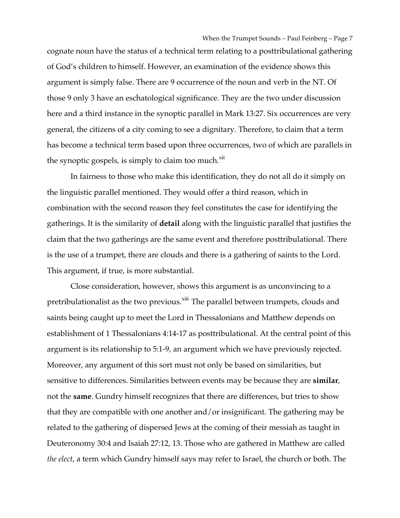cognate noun have the status of a technical term relating to a posttribulational gathering of God's children to himself. However, an examination of the evidence shows this argument is simply false. There are 9 occurrence of the noun and verb in the NT. Of those 9 only 3 have an eschatological significance. They are the two under discussion here and a third instance in the synoptic parallel in Mark 13:27. Six occurrences are very general, the citizens of a city coming to see a dignitary. Therefore, to claim that a term has become a technical term based upon three occurrences, two of which are parallels in the synoptic gospels, is simply to claim too much.<sup>xii</sup>

In fairness to those who make this identification, they do not all do it simply on the linguistic parallel mentioned. They would offer a third reason, which in combination with the second reason they feel constitutes the case for identifying the gatherings. It is the similarity of **detail** along with the linguistic parallel that justifies the claim that the two gatherings are the same event and therefore posttribulational. There is the use of a trumpet, there are clouds and there is a gathering of saints to the Lord. This argument, if true, is more substantial.

Close consideration, however, shows this argument is as unconvincing to a pretribulationalist as the two previous.<sup>xiii</sup> The parallel between trumpets, clouds and saints being caught up to meet the Lord in Thessalonians and Matthew depends on establishment of 1 Thessalonians 4:14-17 as posttribulational. At the central point of this argument is its relationship to 5:1-9, an argument which we have previously rejected. Moreover, any argument of this sort must not only be based on similarities, but sensitive to differences. Similarities between events may be because they are **similar**, not the **same**. Gundry himself recognizes that there are differences, but tries to show that they are compatible with one another and/or insignificant. The gathering may be related to the gathering of dispersed Jews at the coming of their messiah as taught in Deuteronomy 30:4 and Isaiah 27:12, 13. Those who are gathered in Matthew are called *the elect*, a term which Gundry himself says may refer to Israel, the church or both. The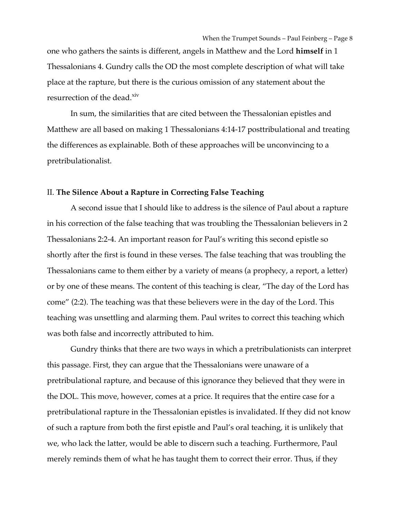one who gathers the saints is different, angels in Matthew and the Lord **himself** in 1 Thessalonians 4. Gundry calls the OD the most complete description of what will take place at the rapture, but there is the curious omission of any statement about the resurrection of the dead.<sup>xiv</sup>

In sum, the similarities that are cited between the Thessalonian epistles and Matthew are all based on making 1 Thessalonians 4:14-17 posttribulational and treating the differences as explainable. Both of these approaches will be unconvincing to a pretribulationalist.

### II. **The Silence About a Rapture in Correcting False Teaching**

A second issue that I should like to address is the silence of Paul about a rapture in his correction of the false teaching that was troubling the Thessalonian believers in 2 Thessalonians 2:2-4. An important reason for Paul's writing this second epistle so shortly after the first is found in these verses. The false teaching that was troubling the Thessalonians came to them either by a variety of means (a prophecy, a report, a letter) or by one of these means. The content of this teaching is clear, "The day of the Lord has come" (2:2). The teaching was that these believers were in the day of the Lord. This teaching was unsettling and alarming them. Paul writes to correct this teaching which was both false and incorrectly attributed to him.

Gundry thinks that there are two ways in which a pretribulationists can interpret this passage. First, they can argue that the Thessalonians were unaware of a pretribulational rapture, and because of this ignorance they believed that they were in the DOL. This move, however, comes at a price. It requires that the entire case for a pretribulational rapture in the Thessalonian epistles is invalidated. If they did not know of such a rapture from both the first epistle and Paul's oral teaching, it is unlikely that we, who lack the latter, would be able to discern such a teaching. Furthermore, Paul merely reminds them of what he has taught them to correct their error. Thus, if they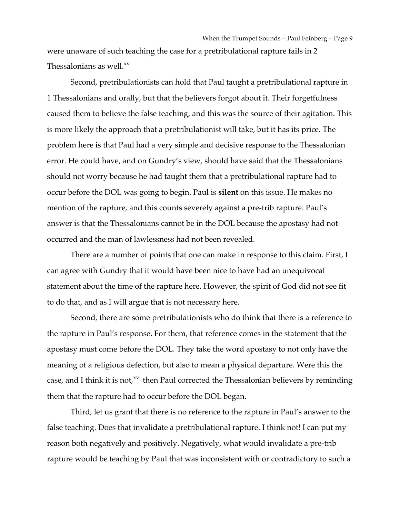were unaware of such teaching the case for a pretribulational rapture fails in 2 Thessalonians as well.<sup>xv</sup>

Second, pretribulationists can hold that Paul taught a pretribulational rapture in 1 Thessalonians and orally, but that the believers forgot about it. Their forgetfulness caused them to believe the false teaching, and this was the source of their agitation. This is more likely the approach that a pretribulationist will take, but it has its price. The problem here is that Paul had a very simple and decisive response to the Thessalonian error. He could have, and on Gundry's view, should have said that the Thessalonians should not worry because he had taught them that a pretribulational rapture had to occur before the DOL was going to begin. Paul is **silent** on this issue. He makes no mention of the rapture, and this counts severely against a pre-trib rapture. Paul's answer is that the Thessalonians cannot be in the DOL because the apostasy had not occurred and the man of lawlessness had not been revealed.

There are a number of points that one can make in response to this claim. First, I can agree with Gundry that it would have been nice to have had an unequivocal statement about the time of the rapture here. However, the spirit of God did not see fit to do that, and as I will argue that is not necessary here.

Second, there are some pretribulationists who do think that there is a reference to the rapture in Paul's response. For them, that reference comes in the statement that the apostasy must come before the DOL. They take the word apostasy to not only have the meaning of a religious defection, but also to mean a physical departure. Were this the case, and I think it is not,<sup>xvi</sup> then Paul corrected the Thessalonian believers by reminding them that the rapture had to occur before the DOL began.

Third, let us grant that there is no reference to the rapture in Paul's answer to the false teaching. Does that invalidate a pretribulational rapture. I think not! I can put my reason both negatively and positively. Negatively, what would invalidate a pre-trib rapture would be teaching by Paul that was inconsistent with or contradictory to such a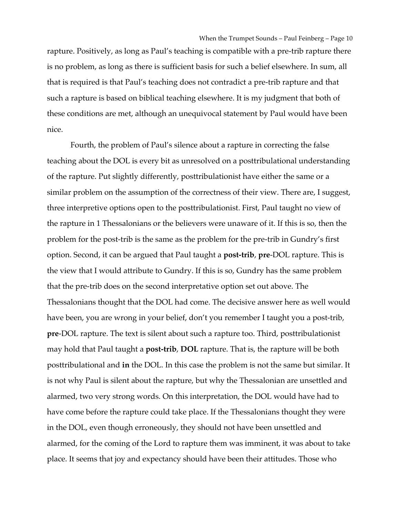rapture. Positively, as long as Paul's teaching is compatible with a pre-trib rapture there is no problem, as long as there is sufficient basis for such a belief elsewhere. In sum, all that is required is that Paul's teaching does not contradict a pre-trib rapture and that such a rapture is based on biblical teaching elsewhere. It is my judgment that both of these conditions are met, although an unequivocal statement by Paul would have been nice.

Fourth, the problem of Paul's silence about a rapture in correcting the false teaching about the DOL is every bit as unresolved on a posttribulational understanding of the rapture. Put slightly differently, posttribulationist have either the same or a similar problem on the assumption of the correctness of their view. There are, I suggest, three interpretive options open to the posttribulationist. First, Paul taught no view of the rapture in 1 Thessalonians or the believers were unaware of it. If this is so, then the problem for the post-trib is the same as the problem for the pre-trib in Gundry's first option. Second, it can be argued that Paul taught a **post-trib**, **pre**-DOL rapture. This is the view that I would attribute to Gundry. If this is so, Gundry has the same problem that the pre-trib does on the second interpretative option set out above. The Thessalonians thought that the DOL had come. The decisive answer here as well would have been, you are wrong in your belief, don't you remember I taught you a post-trib, **pre**-DOL rapture. The text is silent about such a rapture too. Third, posttribulationist may hold that Paul taught a **post-trib**, **DOL** rapture. That is, the rapture will be both posttribulational and **in** the DOL. In this case the problem is not the same but similar. It is not why Paul is silent about the rapture, but why the Thessalonian are unsettled and alarmed, two very strong words. On this interpretation, the DOL would have had to have come before the rapture could take place. If the Thessalonians thought they were in the DOL, even though erroneously, they should not have been unsettled and alarmed, for the coming of the Lord to rapture them was imminent, it was about to take place. It seems that joy and expectancy should have been their attitudes. Those who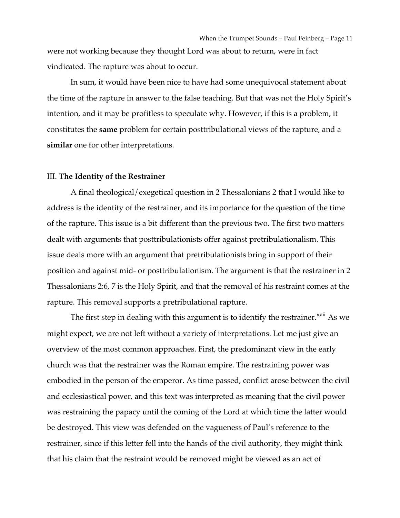When the Trumpet Sounds – Paul Feinberg – Page 11 were not working because they thought Lord was about to return, were in fact vindicated. The rapture was about to occur.

In sum, it would have been nice to have had some unequivocal statement about the time of the rapture in answer to the false teaching. But that was not the Holy Spirit's intention, and it may be profitless to speculate why. However, if this is a problem, it constitutes the **same** problem for certain posttribulational views of the rapture, and a **similar** one for other interpretations.

#### III. **The Identity of the Restrainer**

A final theological/exegetical question in 2 Thessalonians 2 that I would like to address is the identity of the restrainer, and its importance for the question of the time of the rapture. This issue is a bit different than the previous two. The first two matters dealt with arguments that posttribulationists offer against pretribulationalism. This issue deals more with an argument that pretribulationists bring in support of their position and against mid- or posttribulationism. The argument is that the restrainer in 2 Thessalonians 2:6, 7 is the Holy Spirit, and that the removal of his restraint comes at the rapture. This removal supports a pretribulational rapture.

The first step in dealing with this argument is to identify the restrainer.<sup>xvii</sup> As we might expect, we are not left without a variety of interpretations. Let me just give an overview of the most common approaches. First, the predominant view in the early church was that the restrainer was the Roman empire. The restraining power was embodied in the person of the emperor. As time passed, conflict arose between the civil and ecclesiastical power, and this text was interpreted as meaning that the civil power was restraining the papacy until the coming of the Lord at which time the latter would be destroyed. This view was defended on the vagueness of Paul's reference to the restrainer, since if this letter fell into the hands of the civil authority, they might think that his claim that the restraint would be removed might be viewed as an act of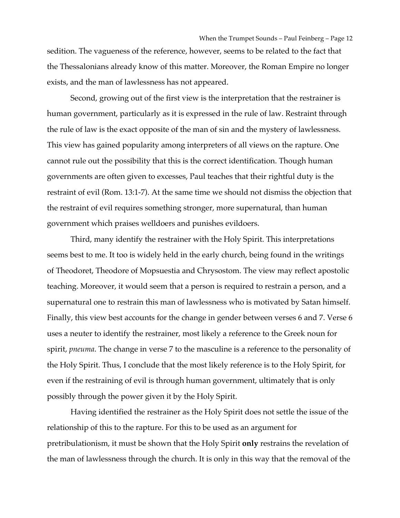sedition. The vagueness of the reference, however, seems to be related to the fact that the Thessalonians already know of this matter. Moreover, the Roman Empire no longer exists, and the man of lawlessness has not appeared.

Second, growing out of the first view is the interpretation that the restrainer is human government, particularly as it is expressed in the rule of law. Restraint through the rule of law is the exact opposite of the man of sin and the mystery of lawlessness. This view has gained popularity among interpreters of all views on the rapture. One cannot rule out the possibility that this is the correct identification. Though human governments are often given to excesses, Paul teaches that their rightful duty is the restraint of evil (Rom. 13:1-7). At the same time we should not dismiss the objection that the restraint of evil requires something stronger, more supernatural, than human government which praises welldoers and punishes evildoers.

Third, many identify the restrainer with the Holy Spirit. This interpretations seems best to me. It too is widely held in the early church, being found in the writings of Theodoret, Theodore of Mopsuestia and Chrysostom. The view may reflect apostolic teaching. Moreover, it would seem that a person is required to restrain a person, and a supernatural one to restrain this man of lawlessness who is motivated by Satan himself. Finally, this view best accounts for the change in gender between verses 6 and 7. Verse 6 uses a neuter to identify the restrainer, most likely a reference to the Greek noun for spirit, *pneuma*. The change in verse 7 to the masculine is a reference to the personality of the Holy Spirit. Thus, I conclude that the most likely reference is to the Holy Spirit, for even if the restraining of evil is through human government, ultimately that is only possibly through the power given it by the Holy Spirit.

Having identified the restrainer as the Holy Spirit does not settle the issue of the relationship of this to the rapture. For this to be used as an argument for pretribulationism, it must be shown that the Holy Spirit **only** restrains the revelation of the man of lawlessness through the church. It is only in this way that the removal of the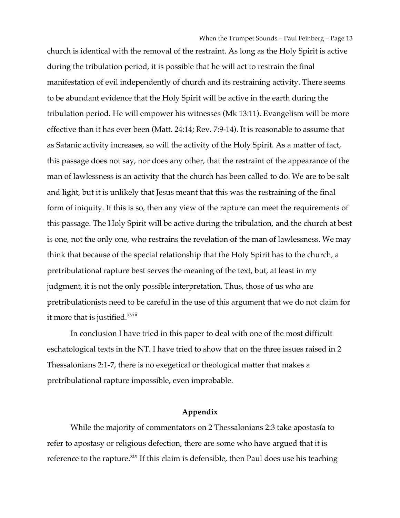church is identical with the removal of the restraint. As long as the Holy Spirit is active during the tribulation period, it is possible that he will act to restrain the final manifestation of evil independently of church and its restraining activity. There seems to be abundant evidence that the Holy Spirit will be active in the earth during the tribulation period. He will empower his witnesses (Mk 13:11). Evangelism will be more effective than it has ever been (Matt. 24:14; Rev. 7:9-14). It is reasonable to assume that as Satanic activity increases, so will the activity of the Holy Spirit. As a matter of fact, this passage does not say, nor does any other, that the restraint of the appearance of the man of lawlessness is an activity that the church has been called to do. We are to be salt and light, but it is unlikely that Jesus meant that this was the restraining of the final form of iniquity. If this is so, then any view of the rapture can meet the requirements of this passage. The Holy Spirit will be active during the tribulation, and the church at best is one, not the only one, who restrains the revelation of the man of lawlessness. We may think that because of the special relationship that the Holy Spirit has to the church, a pretribulational rapture best serves the meaning of the text, but, at least in my judgment, it is not the only possible interpretation. Thus, those of us who are pretribulationists need to be careful in the use of this argument that we do not claim for it more that is justified.<sup>xviii</sup>

In conclusion I have tried in this paper to deal with one of the most difficult eschatological texts in the NT. I have tried to show that on the three issues raised in 2 Thessalonians 2:1-7, there is no exegetical or theological matter that makes a pretribulational rapture impossible, even improbable.

### **Appendix**

While the majority of commentators on 2 Thessalonians 2:3 take apostasía to refer to apostasy or religious defection, there are some who have argued that it is reference to the rapture.<sup>xix</sup> If this claim is defensible, then Paul does use his teaching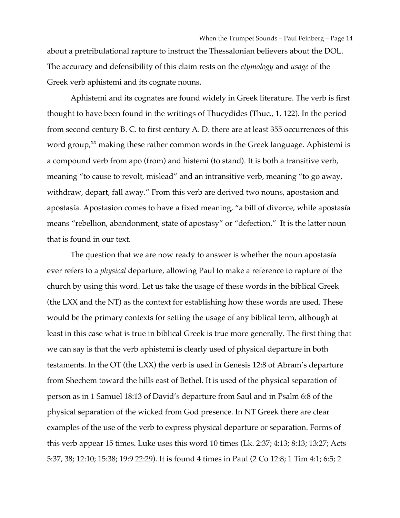When the Trumpet Sounds – Paul Feinberg – Page 14 about a pretribulational rapture to instruct the Thessalonian believers about the DOL. The accuracy and defensibility of this claim rests on the *etymology* and *usage* of the Greek verb aphistemi and its cognate nouns.

Aphistemi and its cognates are found widely in Greek literature. The verb is first thought to have been found in the writings of Thucydides (Thuc., 1, 122). In the period from second century B. C. to first century A. D. there are at least 355 occurrences of this word group, $x^x$  making these rather common words in the Greek language. Aphistemi is a compound verb from apo (from) and histemi (to stand). It is both a transitive verb, meaning "to cause to revolt, mislead" and an intransitive verb, meaning "to go away, withdraw, depart, fall away." From this verb are derived two nouns, apostasion and apostasía. Apostasion comes to have a fixed meaning, "a bill of divorce, while apostasía means "rebellion, abandonment, state of apostasy" or "defection." It is the latter noun that is found in our text.

The question that we are now ready to answer is whether the noun apostasía ever refers to a *physical* departure, allowing Paul to make a reference to rapture of the church by using this word. Let us take the usage of these words in the biblical Greek (the LXX and the NT) as the context for establishing how these words are used. These would be the primary contexts for setting the usage of any biblical term, although at least in this case what is true in biblical Greek is true more generally. The first thing that we can say is that the verb aphistemi is clearly used of physical departure in both testaments. In the OT (the LXX) the verb is used in Genesis 12:8 of Abram's departure from Shechem toward the hills east of Bethel. It is used of the physical separation of person as in 1 Samuel 18:13 of David's departure from Saul and in Psalm 6:8 of the physical separation of the wicked from God presence. In NT Greek there are clear examples of the use of the verb to express physical departure or separation. Forms of this verb appear 15 times. Luke uses this word 10 times (Lk. 2:37; 4:13; 8:13; 13:27; Acts 5:37, 38; 12:10; 15:38; 19:9 22:29). It is found 4 times in Paul (2 Co 12:8; 1 Tim 4:1; 6:5; 2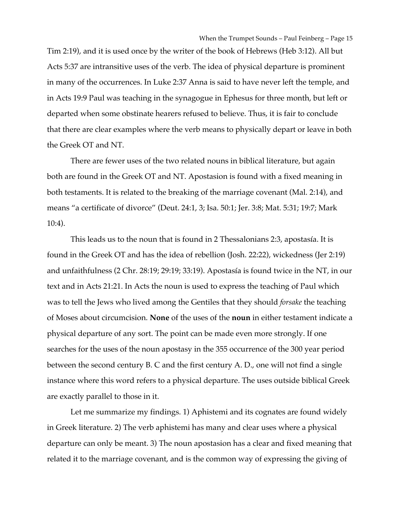Tim 2:19), and it is used once by the writer of the book of Hebrews (Heb 3:12). All but Acts 5:37 are intransitive uses of the verb. The idea of physical departure is prominent in many of the occurrences. In Luke 2:37 Anna is said to have never left the temple, and in Acts 19:9 Paul was teaching in the synagogue in Ephesus for three month, but left or departed when some obstinate hearers refused to believe. Thus, it is fair to conclude that there are clear examples where the verb means to physically depart or leave in both the Greek OT and NT.

There are fewer uses of the two related nouns in biblical literature, but again both are found in the Greek OT and NT. Apostasion is found with a fixed meaning in both testaments. It is related to the breaking of the marriage covenant (Mal. 2:14), and means "a certificate of divorce" (Deut. 24:1, 3; Isa. 50:1; Jer. 3:8; Mat. 5:31; 19:7; Mark 10:4).

This leads us to the noun that is found in 2 Thessalonians 2:3, apostasía. It is found in the Greek OT and has the idea of rebellion (Josh. 22:22), wickedness (Jer 2:19) and unfaithfulness (2 Chr. 28:19; 29:19; 33:19). Apostasía is found twice in the NT, in our text and in Acts 21:21. In Acts the noun is used to express the teaching of Paul which was to tell the Jews who lived among the Gentiles that they should *forsake* the teaching of Moses about circumcision. **None** of the uses of the **noun** in either testament indicate a physical departure of any sort. The point can be made even more strongly. If one searches for the uses of the noun apostasy in the 355 occurrence of the 300 year period between the second century B. C and the first century A. D., one will not find a single instance where this word refers to a physical departure. The uses outside biblical Greek are exactly parallel to those in it.

Let me summarize my findings. 1) Aphistemi and its cognates are found widely in Greek literature. 2) The verb aphistemi has many and clear uses where a physical departure can only be meant. 3) The noun apostasion has a clear and fixed meaning that related it to the marriage covenant, and is the common way of expressing the giving of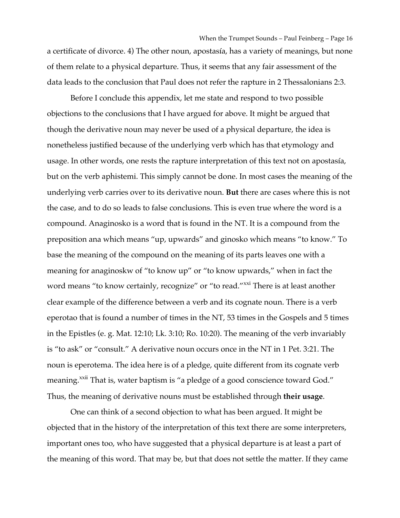When the Trumpet Sounds – Paul Feinberg – Page 16 a certificate of divorce. 4) The other noun, apostasía, has a variety of meanings, but none of them relate to a physical departure. Thus, it seems that any fair assessment of the data leads to the conclusion that Paul does not refer the rapture in 2 Thessalonians 2:3.

Before I conclude this appendix, let me state and respond to two possible objections to the conclusions that I have argued for above. It might be argued that though the derivative noun may never be used of a physical departure, the idea is nonetheless justified because of the underlying verb which has that etymology and usage. In other words, one rests the rapture interpretation of this text not on apostasía, but on the verb aphistemi. This simply cannot be done. In most cases the meaning of the underlying verb carries over to its derivative noun. **But** there are cases where this is not the case, and to do so leads to false conclusions. This is even true where the word is a compound. Anaginosko is a word that is found in the NT. It is a compound from the preposition ana which means "up, upwards" and ginosko which means "to know." To base the meaning of the compound on the meaning of its parts leaves one with a meaning for anaginoskw of "to know up" or "to know upwards," when in fact the word means "to know certainly, recognize" or "to read."<sup>xxi</sup> There is at least another clear example of the difference between a verb and its cognate noun. There is a verb eperotao that is found a number of times in the NT, 53 times in the Gospels and 5 times in the Epistles (e. g. Mat. 12:10; Lk. 3:10; Ro. 10:20). The meaning of the verb invariably is "to ask" or "consult." A derivative noun occurs once in the NT in 1 Pet. 3:21. The noun is eperotema. The idea here is of a pledge, quite different from its cognate verb meaning.<sup>xxii</sup> That is, water baptism is "a pledge of a good conscience toward God." Thus, the meaning of derivative nouns must be established through **their usage**.

One can think of a second objection to what has been argued. It might be objected that in the history of the interpretation of this text there are some interpreters, important ones too, who have suggested that a physical departure is at least a part of the meaning of this word. That may be, but that does not settle the matter. If they came